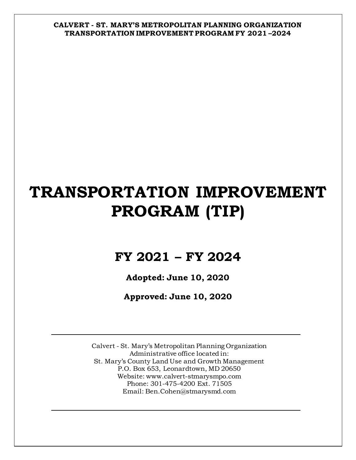# **TRANSPORTATION IMPROVEMENT PROGRAM (TIP)**

# **FY 2021 – FY 2024**

**Adopted: June 10, 2020**

**Approved: June 10, 2020**

Calvert - St. Mary's Metropolitan Planning Organization Administrative office located in: St. Mary's County Land Use and Growth Management P.O. Box 653, Leonardtown, MD 20650 Website: www.calvert-stmarysmpo.com Phone: 301-475-4200 Ext. 71505 Email: Ben.Cohen@stmarysmd.com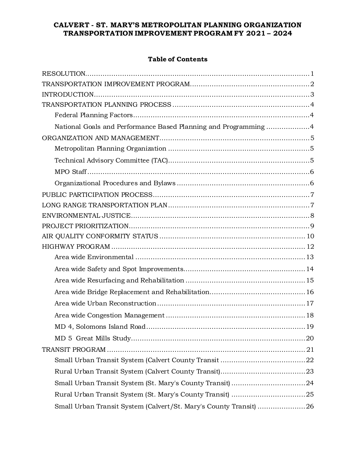### **Table of Contents**

| National Goals and Performance Based Planning and Programming 4   |  |
|-------------------------------------------------------------------|--|
|                                                                   |  |
|                                                                   |  |
|                                                                   |  |
|                                                                   |  |
|                                                                   |  |
|                                                                   |  |
|                                                                   |  |
|                                                                   |  |
|                                                                   |  |
|                                                                   |  |
|                                                                   |  |
|                                                                   |  |
|                                                                   |  |
|                                                                   |  |
|                                                                   |  |
|                                                                   |  |
|                                                                   |  |
|                                                                   |  |
|                                                                   |  |
|                                                                   |  |
|                                                                   |  |
|                                                                   |  |
|                                                                   |  |
| Rural Urban Transit System (St. Mary's County Transit) 25         |  |
| Small Urban Transit System (Calvert/St. Mary's County Transit) 26 |  |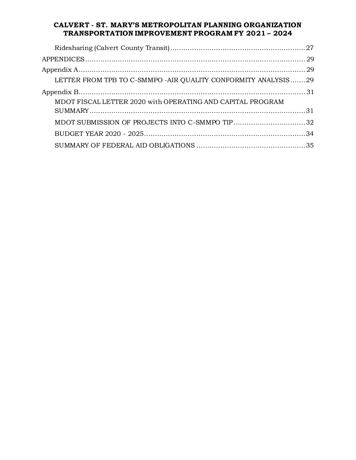| LETTER FROM TPB TO C-SMMPO - AIR QUALITY CONFORMITY ANALYSIS29 |  |
|----------------------------------------------------------------|--|
|                                                                |  |
| MDOT FISCAL LETTER 2020 with OPERATING AND CAPITAL PROGRAM     |  |
|                                                                |  |
| MDOT SUBMISSION OF PROJECTS INTO C-SMMPO TIP32                 |  |
|                                                                |  |
|                                                                |  |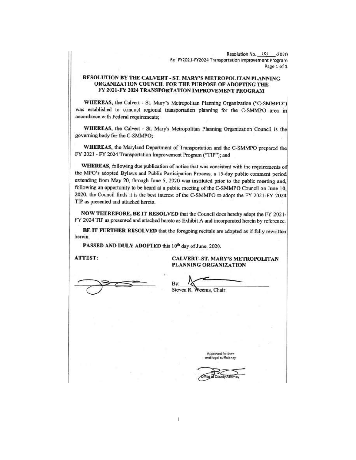2020 Resolution No. 03 Pessolution No. 03<br>Re: FY2021-FY2024 Transportation Improvement Program Page 1 of 1

#### RESOLUTION BY THE CALVERT - ST. MARY'S METROPOLITAN PLANNING ORGANIZATION COUNCIL FOR THE PURPOSE OF ADOPTING THE FY 2021-FY 2024 TRANSPORTATION IMPROVEMENT PROGRAM

WHEREAS, the Calvert - St. Mary's Metropolitan Planning Organization ("C-SMMPO") was established to conduct regional transportation planning for the C-SMMPO area in accordance with Federal requirements:

WHEREAS, the Calvert - St. Mary's Metropolitan Planning Organization Council is the governing body for the C-SMMPO;

WHEREAS, the Maryland Department of Transportation and the C-SMMPO prepared the FY 2021 - FY 2024 Transportation Improvement Program ("TIP"); and

WHEREAS, following due publication of notice that was consistent with the requirements of the MPO's adopted Bylaws and Public Participation Process, a 15-day public comment period extending from May 20, through June 5, 2020 was instituted prior to the public meeting and, following an opportunity to be heard at a public meeting of the C-SMMPO Council on June 10, 2020, the Council finds it is the best interest of the C-SMMPO to adopt the FY 2021-FY 2024 TIP as presented and attached hereto.

NOW THEREFORE, BE IT RESOLVED that the Council does hereby adopt the FY 2021-FY 2024 TIP as presented and attached hereto as Exhibit A and incorporated herein by reference.

BE IT FURTHER RESOLVED that the foregoing recitals are adopted as if fully rewritten herein.

PASSED AND DULY ADOPTED this 10th day of June, 2020.

**ATTEST:** 

CALVERT-ST. MARY'S METROPOLITAN PLANNING ORGANIZATION

Steven R. Weems, Chair

Approved for form and legal sufficiency

森林市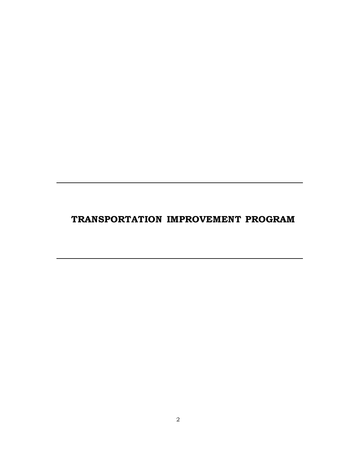# **TRANSPORTATION IMPROVEMENT PROGRAM**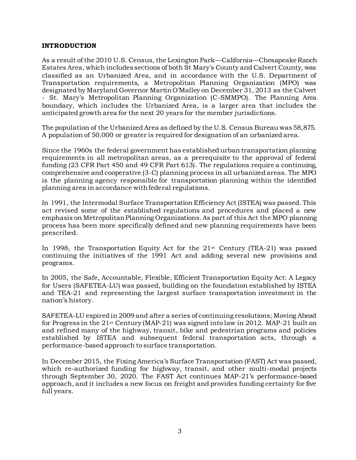### <span id="page-5-0"></span>**INTRODUCTION**

As a result of the 2010 U.S. Census, the Lexington Park—California—Chesapeake Ranch Estates Area, which includes sections of both St Mary's County and Calvert County, was classified as an Urbanized Area, and in accordance with the U.S. Department of Transportation requirements, a Metropolitan Planning Organization (MPO) was designated by Maryland Governor Martin O'Malley on December 31, 2013 as the Calvert - St. Mary's Metropolitan Planning Organization (C-SMMPO). The Planning Area boundary, which includes the Urbanized Area, is a larger area that includes the anticipated growth area for the next 20 years for the member jurisdictions.

The population of the Urbanized Area as defined by the U.S. Census Bureau was 58,875. A population of 50,000 or greater is required for designation of an urbanized area.

Since the 1960s the federal government has established urban transportation planning requirements in all metropolitan areas, as a prerequisite to the approval of federal funding (23 CFR Part 450 and 49 CFR Part 613). The regulations require a continuing, comprehensive and cooperative (3-C) planning process in all urbanized areas. The MPO is the planning agency responsible for transportation planning within the identified planning area in accordance with federal regulations.

In 1991, the Intermodal Surface Transportation Efficiency Act (ISTEA) was passed. This act revised some of the established regulations and procedures and placed a new emphasis on Metropolitan Planning Organizations. As part of this Act the MPO planning process has been more specifically defined and new planning requirements have been prescribed.

In 1998, the Transportation Equity Act for the  $21<sup>st</sup>$  Century (TEA-21) was passed continuing the initiatives of the 1991 Act and adding several new provisions and programs.

In 2005, the Safe, Accountable, Flexible, Efficient Transportation Equity Act: A Legacy for Users (SAFETEA-LU) was passed, building on the foundation established by ISTEA and TEA-21 and representing the largest surface transportation investment in the nation's history.

SAFETEA-LU expired in 2009 and after a series of continuing resolutions; Moving Ahead for Progress in the 21st Century (MAP-21) was signed into law in 2012. MAP-21 built on and refined many of the highway, transit, bike and pedestrian programs and policies established by ISTEA and subsequent federal transportation acts, through a performance-based approach to surface transportation.

In December 2015, the Fixing America's Surface Transportation (FAST) Act was passed, which re-authorized funding for highway, transit, and other multi-modal projects through September 30, 2020. The FAST Act continues MAP-21's performance-based approach, and it includes a new focus on freight and provides funding certainty for five full years.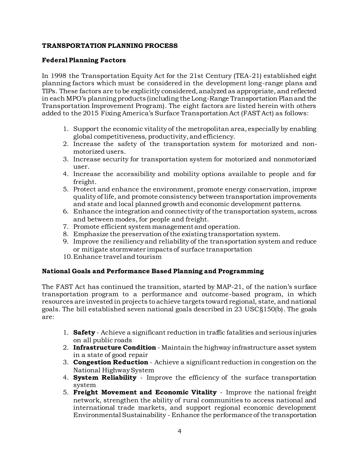### <span id="page-6-0"></span>**TRANSPORTATION PLANNING PROCESS**

### <span id="page-6-1"></span>**Federal Planning Factors**

In 1998 the Transportation Equity Act for the 21st Century (TEA-21) established eight planning factors which must be considered in the development long-range plans and TIPs. These factors are to be explicitly considered, analyzed as appropriate, and reflected in each MPO's planning products (including the Long-Range Transportation Plan and the Transportation Improvement Program). The eight factors are listed herein with others added to the 2015 Fixing America's Surface Transportation Act (FAST Act) as follows:

- 1. Support the economic vitality of the metropolitan area, especially by enabling global competitiveness, productivity, and efficiency.
- 2. Increase the safety of the transportation system for motorized and nonmotorized users.
- 3. Increase security for transportation system for motorized and nonmotorized user.
- 4. Increase the accessibility and mobility options available to people and for freight.
- 5. Protect and enhance the environment, promote energy conservation, improve quality of life, and promote consistency between transportation improvements and state and local planned growth and economic development patterns.
- 6. Enhance the integration and connectivity of the transportation system, across and between modes, for people and freight.
- 7. Promote efficient system management and operation.
- 8. Emphasize the preservation of the existing transportation system.
- 9. Improve the resiliency and reliability of the transportation system and reduce or mitigate stormwater impacts of surface transportation
- 10.Enhance travel and tourism

### <span id="page-6-2"></span>**National Goals and Performance Based Planning and Programming**

The FAST Act has continued the transition, started by MAP-21, of the nation's surface transportation program to a performance and outcome-based program, in which resources are invested in projects to achieve targets toward regional, state, and national goals. The bill established seven national goals described in 23 USC§150(b). The goals are:

- 1. **Safety** Achieve a significant reduction in traffic fatalities and serious injuries on all public roads
- 2. **Infrastructure Condition** Maintain the highway infrastructure asset system in a state of good repair
- 3. **Congestion Reduction** Achieve a significant reduction in congestion on the National Highway System
- 4. **System Reliability** Improve the efficiency of the surface transportation system
- 5. **Freight Movement and Economic Vitality**  Improve the national freight network, strengthen the ability of rural communities to access national and international trade markets, and support regional economic development Environmental Sustainability - Enhance the performance of the transportation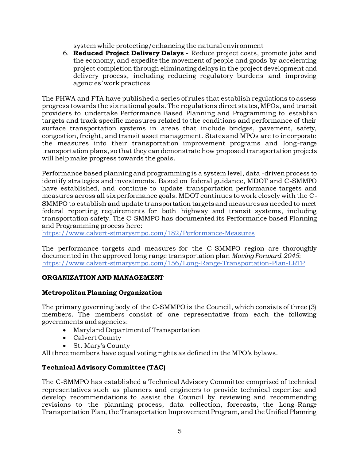system while protecting/enhancing the natural environment

6. **Reduced Project Delivery Delays** - Reduce project costs, promote jobs and the economy, and expedite the movement of people and goods by accelerating project completion through eliminating delays in the project development and delivery process, including reducing regulatory burdens and improving agencies' work practices

The FHWA and FTA have published a series of rules that establish regulations to assess progress towards the six national goals. The regulations direct states, MPOs, and transit providers to undertake Performance Based Planning and Programming to establish targets and track specific measures related to the conditions and performance of their surface transportation systems in areas that include bridges, pavement, safety, congestion, freight, and transit asset management. States and MPOs are to incorporate the measures into their transportation improvement programs and long-range transportation plans, so that they can demonstrate how proposed transportation projects will help make progress towards the goals.

Performance based planning and programming is a system level, data -driven process to identify strategies and investments. Based on federal guidance, MDOT and C-SMMPO have established, and continue to update transportation performance targets and measures across all six performance goals. MDOT continues to work closely with the C-SMMPO to establish and update transportation targets and measures as needed to meet federal reporting requirements for both highway and transit systems, including transportation safety. The C-SMMPO has documented its Performance based Planning and Programming process here:

<https://www.calvert-stmarysmpo.com/182/Performance-Measures>

The performance targets and measures for the C-SMMPO region are thoroughly documented in the approved long range transportation plan *Moving Forward 2045*: <https://www.calvert-stmarysmpo.com/156/Long-Range-Transportation-Plan-LRTP>

### <span id="page-7-0"></span>**ORGANIZATION AND MANAGEMENT**

### <span id="page-7-1"></span>**Metropolitan Planning Organization**

The primary governing body of the C-SMMPO is the Council, which consists of three (3) members. The members consist of one representative from each the following governments and agencies:

- Maryland Department of Transportation
- Calvert County
- St. Mary's County

<span id="page-7-2"></span>All three members have equal voting rights as defined in the MPO's bylaws.

### **Technical Advisory Committee (TAC)**

The C-SMMPO has established a Technical Advisory Committee comprised of technical representatives such as planners and engineers to provide technical expertise and develop recommendations to assist the Council by reviewing and recommending revisions to the planning process, data collection, forecasts, the Long-Range Transportation Plan, the Transportation Improvement Program, and the Unified Planning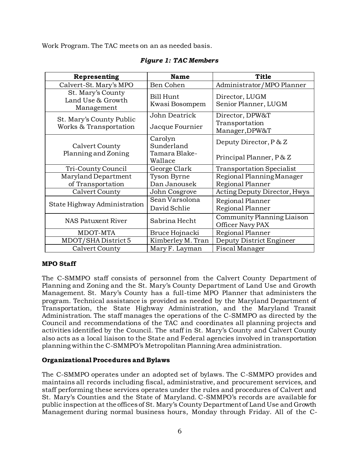Work Program. The TAC meets on an as needed basis.

| Representing                                         | <b>Name</b>                        | <b>Title</b>                                   |
|------------------------------------------------------|------------------------------------|------------------------------------------------|
| Calvert-St. Mary's MPO                               | Ben Cohen                          | Administrator/MPO Planner                      |
| St. Mary's County<br>Land Use & Growth<br>Management | <b>Bill Hunt</b><br>Kwasi Bosompem | Director, LUGM<br>Senior Planner, LUGM         |
| St. Mary's County Public                             | John Deatrick                      | Director, DPW&T                                |
| Works & Transportation                               | Jacque Fournier                    | Transportation<br>Manager, DPW&T               |
| Calvert County                                       | Carolyn<br>Sunderland              | Deputy Director, P & Z                         |
| Planning and Zoning                                  | Tamara Blake-<br>Wallace           | Principal Planner, P & Z                       |
| Tri-County Council                                   | George Clark                       | <b>Transportation Specialist</b>               |
| Maryland Department                                  | <b>Tyson Byrne</b>                 | Regional Planning Manager                      |
| of Transportation                                    | Dan Janousek                       | Regional Planner                               |
| Calvert County                                       | John Cosgrove                      | Acting Deputy Director, Hwys                   |
|                                                      | Sean Varsolona                     | Regional Planner                               |
| State Highway Administration                         | David Schlie                       | Regional Planner                               |
| NAS Patuxent River                                   | Sabrina Hecht                      | Community Planning Liaison<br>Officer Navy PAX |
| MDOT-MTA                                             | Bruce Hojnacki                     | Regional Planner                               |
| MDOT/SHA District 5                                  | Kimberley M. Tran                  | Deputy District Engineer                       |
| Calvert County                                       | Mary F. Layman                     | Fiscal Manager                                 |

### *Figure 1: TAC Members*

### <span id="page-8-0"></span>**MPO Staff**

The C-SMMPO staff consists of personnel from the Calvert County Department of Planning and Zoning and the St. Mary's County Department of Land Use and Growth Management. St. Mary's County has a full-time MPO Planner that administers the program. Technical assistance is provided as needed by the Maryland Department of Transportation, the State Highway Administration, and the Maryland Transit Administration. The staff manages the operations of the C-SMMPO as directed by the Council and recommendations of the TAC and coordinates all planning projects and activities identified by the Council. The staff in St. Mary's County and Calvert County also acts as a local liaison to the State and Federal agencies involved in transportation planning within the C-SMMPO's Metropolitan Planning Area administration.

### <span id="page-8-1"></span>**Organizational Procedures and Bylaws**

The C-SMMPO operates under an adopted set of bylaws. The C-SMMPO provides and maintains all records including fiscal, administrative, and procurement services, and staff performing these services operates under the rules and procedures of Calvert and St. Mary's Counties and the State of Maryland. C-SMMPO's records are available for public inspection at the offices of St. Mary's County Department of Land Use and Growth Management during normal business hours, Monday through Friday. All of the C-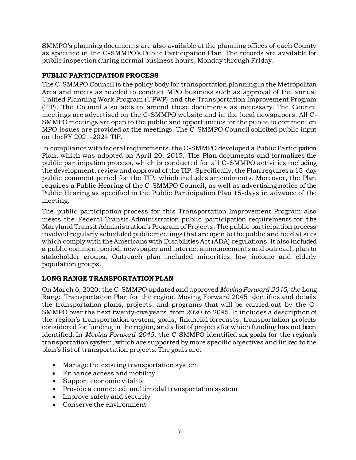SMMPO's planning documents are also available at the planning offices of each County as specified in the C-SMMPO's Public Participation Plan. The records are available for public inspection during normal business hours, Monday through Friday.

# <span id="page-9-0"></span>**PUBLIC PARTICIPATION PROCESS**

The C-SMMPO Council is the policy body for transportation planning in the Metropolitan Area and meets as needed to conduct MPO business such as approval of the annual Unified Planning Work Program (UPWP) and the Transportation Improvement Program (TIP). The Council also acts to amend these documents as necessary. The Council meetings are advertised on the C-SMMPO website and in the local newspapers. All C-SMMPO meetings are open to the public and opportunities for the public to comment on MPO issues are provided at the meetings. The C-SMMPO Council solicited public input on the FY 2021-2024 TIP.

In compliance with federal requirements, the C-SMMPO developed a Public Participation Plan, which was adopted on April 20, 2015. The Plan documents and formalizes the public participation process, which is conducted for all C-SMMPO activities including the development, review and approval of the TIP. Specifically, the Plan requires a 15-day public comment period for the TIP, which includes amendments. Moreover, the Plan requires a Public Hearing of the C-SMMPO Council, as well as advertising notice of the Public Hearing as specified in the Public Participation Plan 15-days in advance of the meeting.

The public participation process for this Transportation Improvement Program also meets the Federal Transit Administration public participation requirements for the Maryland Transit Administration's Program of Projects. The public participation process involved regularly scheduled public meetings that are open to the public and held at sites which comply with the Americans with Disabilities Act (ADA) regulations. It also included a public comment period, newspaper and internet announcements and outreach plan to stakeholder groups. Outreach plan included minorities, low income and elderly population groups.

### <span id="page-9-1"></span>**LONG RANGE TRANSPORTATION PLAN**

On March 6, 2020, the C-SMMPO updated and approved *Moving Forward 2045, the* Long Range Transportation Plan for the region. Moving Forward 2045 identifies and details the transportation plans, projects, and programs that will be carried out by the C-SMMPO over the next twenty-five years, from 2020 to 2045. It includes a description of the region's transportation system, goals, financial forecasts, transportation projects considered for funding in the region, and a list of projects for which funding has not been identified. In *Moving Forward 2045*, the C-SMMPO identified six goals for the region's transportation system, which are supported by more specific objectives and linked to the plan's list of transportation projects. The goals are:

- Manage the existing transportation system
- Enhance access and mobility
- Support economic vitality
- Provide a connected, multimodal transportation system
- Improve safety and security
- Conserve the environment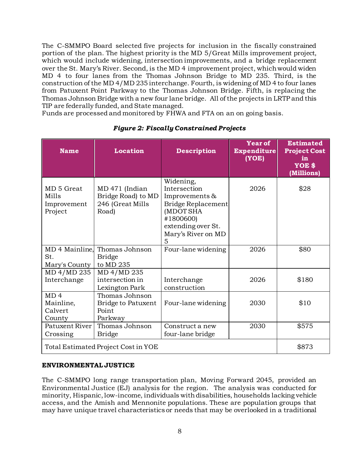The C-SMMPO Board selected five projects for inclusion in the fiscally constrained portion of the plan. The highest priority is the MD 5/Great Mills improvement project, which would include widening, intersection improvements, and a bridge replacement over the St. Mary's River. Second, is the MD 4 improvement project, which would widen MD 4 to four lanes from the Thomas Johnson Bridge to MD 235. Third, is the construction of the MD 4/MD 235 interchange. Fourth, is widening of MD 4 to four lanes from Patuxent Point Parkway to the Thomas Johnson Bridge. Fifth, is replacing the Thomas Johnson Bridge with a new four lane bridge. All of the projects in LRTP and this TIP are federally funded, and State managed.

Funds are processed and monitored by FHWA and FTA on an on going basis.

| <b>Name</b>                                       | <b>Location</b>                                                   | <b>Description</b>                                                                                                                                     | <b>Year of</b><br><b>Expenditure</b><br>(YOE) | <b>Estimated</b><br><b>Project Cost</b><br>in<br>YOE \$<br>(Millions) |
|---------------------------------------------------|-------------------------------------------------------------------|--------------------------------------------------------------------------------------------------------------------------------------------------------|-----------------------------------------------|-----------------------------------------------------------------------|
| MD 5 Great<br>Mills<br>Improvement<br>Project     | MD 471 (Indian<br>Bridge Road) to MD<br>246 (Great Mills<br>Road) | Widening,<br>Intersection<br>Improvements $\&$<br><b>Bridge Replacement</b><br>(MDOT SHA<br>#1800600)<br>extending over St.<br>Mary's River on MD<br>5 | 2026                                          | \$28                                                                  |
| MD 4 Mainline.<br>St.<br>Mary's County            | Thomas Johnson<br><b>Bridge</b><br>to MD 235                      | Four-lane widening                                                                                                                                     | 2026                                          | \$80                                                                  |
| MD 4/MD 235<br>Interchange                        | MD 4/MD 235<br>intersection in<br>Lexington Park                  | Interchange<br>construction                                                                                                                            | 2026                                          | \$180                                                                 |
| MD <sub>4</sub><br>Mainline,<br>Calvert<br>County | Thomas Johnson<br><b>Bridge to Patuxent</b><br>Point<br>Parkway   | Four-lane widening                                                                                                                                     | 2030                                          | \$10                                                                  |
| Patuxent River<br>Crossing                        | Thomas Johnson<br><b>Bridge</b>                                   | Construct a new<br>four-lane bridge                                                                                                                    | 2030                                          | \$575                                                                 |
|                                                   | Total Estimated Project Cost in YOE                               |                                                                                                                                                        |                                               | \$873                                                                 |

### *Figure 2: Fiscally Constrained Projects*

#### <span id="page-10-0"></span>**ENVIRONMENTAL JUSTICE**

The C-SMMPO long range transportation plan, Moving Forward 2045, provided an Environmental Justice (EJ) analysis for the region. The analysis was conducted for minority, Hispanic, low-income, individuals with disabilities, households lacking vehicle access, and the Amish and Mennonite populations. These are population groups that may have unique travel characteristics or needs that may be overlooked in a traditional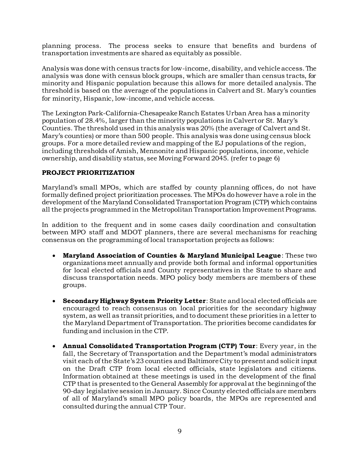planning process. The process seeks to ensure that benefits and burdens of transportation investments are shared as equitably as possible.

Analysis was done with census tracts for low-income, disability, and vehicle access. The analysis was done with census block groups, which are smaller than census tracts, for minority and Hispanic population because this allows for more detailed analysis. The threshold is based on the average of the populations in Calvert and St. Mary's counties for minority, Hispanic, low-income, and vehicle access.

The Lexington Park-California-Chesapeake Ranch Estates Urban Area has a minority population of 28.4%, larger than the minority populations in Calvert or St. Mary's Counties. The threshold used in this analysis was 20% (the average of Calvert and St. Mary's counties) or more than 500 people. This analysis was done using census block groups. For a more detailed review and mapping of the EJ populations of the region, including thresholds of Amish, Mennonite and Hispanic populations, income, vehicle ownership, and disability status, see Moving Forward 2045. (refer to page 6)

### <span id="page-11-0"></span>**PROJECT PRIORITIZATION**

Maryland's small MPOs, which are staffed by county planning offices, do not have formally defined project prioritization processes. The MPOs do however have a role in the development of the Maryland Consolidated Transportation Program (CTP) which contains all the projects programmed in the Metropolitan Transportation Improvement Programs.

In addition to the frequent and in some cases daily coordination and consultation between MPO staff and MDOT planners, there are several mechanisms for reaching consensus on the programming of local transportation projects as follows:

- **Maryland Association of Counties & Maryland Municipal League**: These two organizations meet annually and provide both formal and informal opportunities for local elected officials and County representatives in the State to share and discuss transportation needs. MPO policy body members are members of these groups.
- **Secondary Highway System Priority Letter**: State and local elected officials are encouraged to reach consensus on local priorities for the secondary highway system, as well as transit priorities, and to document these priorities in a letter to the Maryland Department of Transportation. The priorities become candidates for funding and inclusion in the CTP.
- **Annual Consolidated Transportation Program (CTP) Tour**: Every year, in the fall, the Secretary of Transportation and the Department's modal administrators visit each of the State's 23 counties and Baltimore City to present and solicit input on the Draft CTP from local elected officials, state legislators and citizens. Information obtained at these meetings is used in the development of the final CTP that is presented to the General Assembly for approval at the beginning of the 90-day legislative session in January. Since County elected officials are members of all of Maryland's small MPO policy boards, the MPOs are represented and consulted during the annual CTP Tour.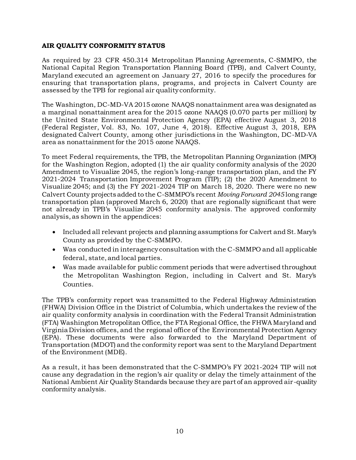### <span id="page-12-0"></span>**AIR QUALITY CONFORMITY STATUS**

As required by 23 CFR 450.314 Metropolitan Planning Agreements, C-SMMPO, the National Capital Region Transportation Planning Board (TPB), and Calvert County, Maryland executed an agreement on January 27, 2016 to specify the procedures for ensuring that transportation plans, programs, and projects in Calvert County are assessed by the TPB for regional air quality conformity.

The Washington, DC-MD-VA 2015 ozone NAAQS nonattainment area was designated as a marginal nonattainment area for the 2015 ozone NAAQS (0.070 parts per million) by the United State Environmental Protection Agency (EPA) effective August 3, 2018 (Federal Register, Vol. 83, No. 107, June 4, 2018). Effective August 3, 2018, EPA designated Calvert County, among other jurisdictions in the Washington, DC-MD-VA area as nonattainment for the 2015 ozone NAAOS.

To meet Federal requirements, the TPB, the Metropolitan Planning Organization (MPO) for the Washington Region, adopted (1) the air quality conformity analysis of the 2020 Amendment to Visualize 2045, the region's long-range transportation plan, and the FY 2021-2024 Transportation Improvement Program (TIP); (2) the 2020 Amendment to Visualize 2045; and (3) the FY 2021-2024 TIP on March 18, 2020. There were no new Calvert County projects added to the C-SMMPO's recent *Moving Forward 2045* long range transportation plan (approved March 6, 2020) that are regionally significant that were not already in TPB's Visualize 2045 conformity analysis. The approved conformity analysis, as shown in the appendices:

- Included all relevant projects and planning assumptions for Calvert and St. Mary's County as provided by the C-SMMPO.
- Was conducted in interagency consultation with the C-SMMPO and all applicable federal, state, and local parties.
- Was made available for public comment periods that were advertised throughout the Metropolitan Washington Region, including in Calvert and St. Mary's Counties.

The TPB's conformity report was transmitted to the Federal Highway Administration (FHWA) Division Office in the District of Columbia, which undertakes the review of the air quality conformity analysis in coordination with the Federal Transit Administration (FTA) Washington Metropolitan Office, the FTA Regional Office, the FHWA Maryland and Virginia Division offices, and the regional office of the Environmental Protection Agency (EPA). These documents were also forwarded to the Maryland Department of Transportation (MDOT) and the conformity report was sent to the Maryland Department of the Environment (MDE).

As a result, it has been demonstrated that the C-SMMPO's FY 2021-2024 TIP will not cause any degradation in the region's air quality or delay the timely attainment of the National Ambient Air Quality Standards because they are part of an approved air -quality conformity analysis.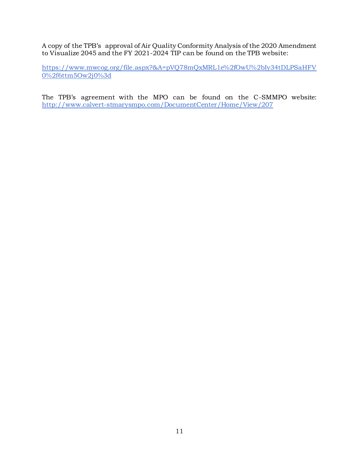A copy of the TPB's approval of Air Quality Conformity Analysis of the 2020 Amendment to Visualize 2045 and the FY 2021-2024 TIP can be found on the TPB website:

[https://www.mwcog.org/file.aspx?&A=pVQ78mQxMRL1e%2fOwU%2bIy34tDLPSaHFV](https://www.mwcog.org/file.aspx?&A=pVQ78mQxMRL1e%2fOwU%2bIy34tDLPSaHFV0%2f6ttm5Ow2j0%3d) [0%2f6ttm5Ow2j0%3d](https://www.mwcog.org/file.aspx?&A=pVQ78mQxMRL1e%2fOwU%2bIy34tDLPSaHFV0%2f6ttm5Ow2j0%3d)

The TPB's agreement with the MPO can be found on the C-SMMPO website: <http://www.calvert-stmarysmpo.com/DocumentCenter/Home/View/207>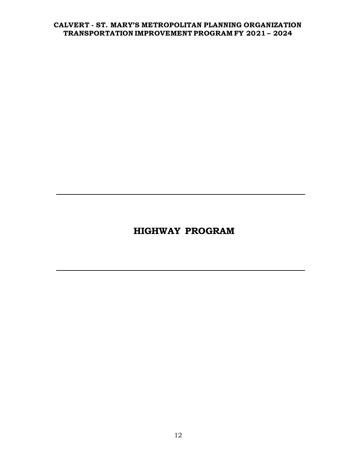# **HIGHWAY PROGRAM**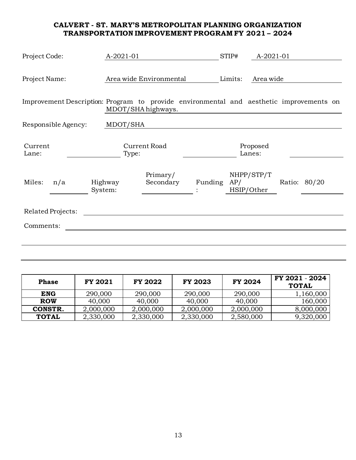<span id="page-15-0"></span>

| Project Code:                                                                           | A-2021-01          |                         | STIP#       | A-2021-01                |              |
|-----------------------------------------------------------------------------------------|--------------------|-------------------------|-------------|--------------------------|--------------|
| Project Name:                                                                           |                    | Area wide Environmental | Limits:     | Area wide                |              |
| Improvement Description: Program to provide environmental and aesthetic improvements on | MDOT/SHA highways. |                         |             |                          |              |
| Responsible Agency:                                                                     | MDOT/SHA           |                         |             |                          |              |
| Current<br>Lane:                                                                        | Type:              | Current Road            |             | Proposed<br>Lanes:       |              |
| Miles:<br>n/a                                                                           | Highway<br>System: | Primary/<br>Secondary   | Funding AP/ | NHPP/STP/T<br>HSIP/Other | Ratio: 80/20 |
| Related Projects:                                                                       |                    |                         |             |                          |              |
| Comments:                                                                               |                    |                         |             |                          |              |
|                                                                                         |                    |                         |             |                          |              |

| <b>Phase</b> | <b>FY 2021</b> | <b>FY 2022</b> | <b>FY 2023</b> | <b>FY 2024</b> | FY 2021 - 2024<br><b>TOTAL</b> |
|--------------|----------------|----------------|----------------|----------------|--------------------------------|
| <b>ENG</b>   | 290,000        | 290,000        | 290,000        | 290,000        | 1,160,000                      |
| <b>ROW</b>   | 40,000         | 40,000         | 40,000         | 40,000         | 160,000                        |
| CONSTR.      | 2,000,000      | 2,000,000      | 2,000,000      | 2,000,000      | 8,000,000                      |
| <b>TOTAL</b> | 2,330,000      | 2,330,000      | 2,330,000      | 2,580,000      | 9,320,000                      |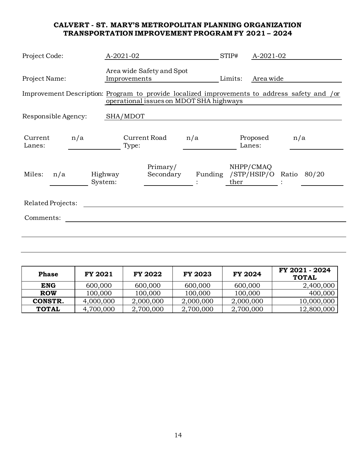<span id="page-16-0"></span>

| Project Code:                                                                                                                           | A-2021-02                                   | STIP#                             | A-2021-02                 |  |
|-----------------------------------------------------------------------------------------------------------------------------------------|---------------------------------------------|-----------------------------------|---------------------------|--|
| Project Name:                                                                                                                           | Area wide Safety and Spot<br>Improvements   | Limits:                           | Area wide                 |  |
| Improvement Description: Program to provide localized improvements to address safety and /or<br>operational issues on MDOT SHA highways |                                             |                                   |                           |  |
| Responsible Agency:                                                                                                                     | SHA/MDOT                                    |                                   |                           |  |
| Current<br>n/a<br>Lanes:                                                                                                                | Current Road<br>Type:                       | n/a                               | Proposed<br>n/a<br>Lanes: |  |
| Miles:<br>n/a                                                                                                                           | Primary/<br>Secondary<br>Highway<br>System: | Funding /STP/HSIP/O Ratio<br>ther | NHPP/CMAQ<br>80/20        |  |
| Related Projects:                                                                                                                       |                                             |                                   |                           |  |
| Comments:                                                                                                                               |                                             |                                   |                           |  |
|                                                                                                                                         |                                             |                                   |                           |  |

| <b>Phase</b> | <b>FY 2021</b> | <b>FY 2022</b> | <b>FY 2023</b> | <b>FY 2024</b> | FY 2021 - 2024<br><b>TOTAL</b> |
|--------------|----------------|----------------|----------------|----------------|--------------------------------|
| <b>ENG</b>   | 600,000        | 600,000        | 600,000        | 600,000        | 2,400,000                      |
| <b>ROW</b>   | 100,000        | 100,000        | 100,000        | 100,000        | 400,000                        |
| CONSTR.      | 4,000,000      | 2,000,000      | 2,000,000      | 2,000,000      | 10,000,000                     |
| <b>TOTAL</b> | 4,700,000      | 2,700,000      | 2,700,000      | 2,700,000      | 12,800,000                     |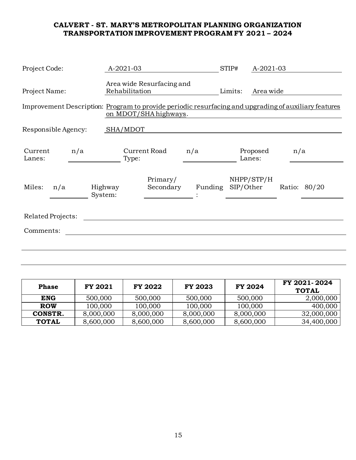<span id="page-17-0"></span>

| Project Code:                                                                                        | A-2021-03          |                           |         | STIP#     | A-2021-03          |              |  |
|------------------------------------------------------------------------------------------------------|--------------------|---------------------------|---------|-----------|--------------------|--------------|--|
| Project Name:                                                                                        | Rehabilitation     | Area wide Resurfacing and |         | Limits:   | Area wide          |              |  |
| Improvement Description: Program to provide periodic resurfacing and upgrading of auxiliary features |                    | on MDOT/SHA highways.     |         |           |                    |              |  |
| Responsible Agency:                                                                                  | SHA/MDOT           |                           |         |           |                    |              |  |
| Current<br>n/a<br>Lanes:                                                                             | Type:              | Current Road              | n/a     |           | Proposed<br>Lanes: | n/a          |  |
| Miles:<br>n/a                                                                                        | Highway<br>System: | Primary/<br>Secondary     | Funding | SIP/Other | NHPP/STP/H         | Ratio: 80/20 |  |
| Related Projects:                                                                                    |                    |                           |         |           |                    |              |  |
| Comments:                                                                                            |                    |                           |         |           |                    |              |  |
|                                                                                                      |                    |                           |         |           |                    |              |  |

| <b>Phase</b> | <b>FY 2021</b> | <b>FY 2022</b> | <b>FY 2023</b> | <b>FY 2024</b> | FY 2021-2024<br><b>TOTAL</b> |
|--------------|----------------|----------------|----------------|----------------|------------------------------|
| <b>ENG</b>   | 500,000        | 500,000        | 500,000        | 500,000        | 2,000,000                    |
| <b>ROW</b>   | 100,000        | 100,000        | 100,000        | 100,000        | 400,000                      |
| CONSTR.      | 8,000,000      | 8,000,000      | 8,000,000      | 8,000,000      | 32,000,000                   |
| <b>TOTAL</b> | 8,600,000      | 8,600,000      | 8,600,000      | 8,600,000      | 34,400,000                   |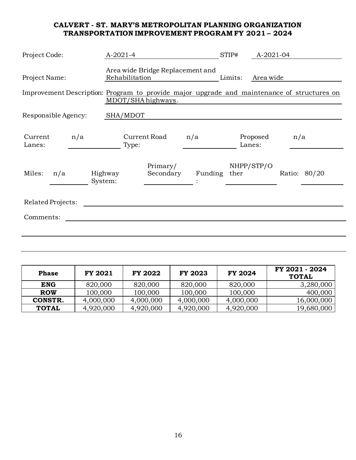<span id="page-18-0"></span>

| Project Code:       |                    | $A-2021-4$                                                                                                       |              | STIP#              | A-2021-04 |              |
|---------------------|--------------------|------------------------------------------------------------------------------------------------------------------|--------------|--------------------|-----------|--------------|
| Project Name:       |                    | Area wide Bridge Replacement and<br>Rehabilitation                                                               |              | Limits:            | Area wide |              |
|                     |                    | Improvement Description: Program to provide major upgrade and maintenance of structures on<br>MDOT/SHA highways. |              |                    |           |              |
| Responsible Agency: |                    | SHA/MDOT                                                                                                         |              |                    |           |              |
| Current<br>Lanes:   | n/a                | Current Road<br>Type:                                                                                            | n/a          | Proposed<br>Lanes: | n/a       |              |
| Miles:<br>n/a       | Highway<br>System: | Primary/<br>Secondary                                                                                            | Funding ther | NHPP/STP/O         |           | Ratio: 80/20 |
| Related Projects:   |                    |                                                                                                                  |              |                    |           |              |
| Comments:           |                    |                                                                                                                  |              |                    |           |              |
|                     |                    |                                                                                                                  |              |                    |           |              |
|                     |                    |                                                                                                                  |              |                    |           |              |

| <b>Phase</b> | <b>FY 2021</b> | <b>FY 2022</b> | <b>FY 2023</b> | <b>FY 2024</b> | FY 2021 - 2024<br><b>TOTAL</b> |
|--------------|----------------|----------------|----------------|----------------|--------------------------------|
| ENG          | 820,000        | 820,000        | 820,000        | 820,000        | 3,280,000                      |
| <b>ROW</b>   | 100,000        | 100,000        | 100,000        | 100,000        | 400,000                        |
| CONSTR.      | 4,000,000      | 4,000,000      | 4,000,000      | 4,000,000      | 16,000,000                     |
| <b>TOTAL</b> | 4,920,000      | 4,920,000      | 4,920,000      | 4,920,000      | 19,680,000                     |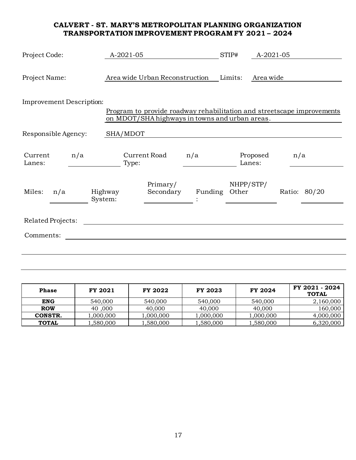<span id="page-19-0"></span>

| Project Code:            | A-2021-05          |                                                                                                                          |         | STIP#              | A-2021-05 |              |  |
|--------------------------|--------------------|--------------------------------------------------------------------------------------------------------------------------|---------|--------------------|-----------|--------------|--|
| Project Name:            |                    | Area wide Urban Reconstruction                                                                                           |         | Limits:            | Area wide |              |  |
| Improvement Description: |                    | Program to provide roadway rehabilitation and streetscape improvements<br>on MDOT/SHA highways in towns and urban areas. |         |                    |           |              |  |
| Responsible Agency:      | SHA/MDOT           |                                                                                                                          |         |                    |           |              |  |
| Current<br>n/a<br>Lanes: | Type:              | Current Road                                                                                                             | n/a     | Lanes:             | Proposed  | n/a          |  |
| Miles:<br>n/a            | Highway<br>System: | Primary/<br>Secondary                                                                                                    | Funding | NHPP/STP/<br>Other |           | Ratio: 80/20 |  |
| Related Projects:        |                    |                                                                                                                          |         |                    |           |              |  |
| Comments:                |                    |                                                                                                                          |         |                    |           |              |  |
|                          |                    |                                                                                                                          |         |                    |           |              |  |

| <b>Phase</b>   | FY 2021   | FY 2022   | <b>FY 2023</b> | <b>FY 2024</b> | FY 2021 - 2024<br><b>TOTAL</b> |
|----------------|-----------|-----------|----------------|----------------|--------------------------------|
| <b>ENG</b>     | 540,000   | 540,000   | 540,000        | 540,000        | 2,160,000                      |
| <b>ROW</b>     | 40,000    | 40,000    | 40,000         | 40,000         | 160,000                        |
| <b>CONSTR.</b> | 1,000,000 | 1,000,000 | 1,000,000      | 1,000,000      | 4,000,000                      |
| <b>TOTAL</b>   | 1,580,000 | 1,580,000 | 1,580,000      | 1,580,000      | 6,320,000                      |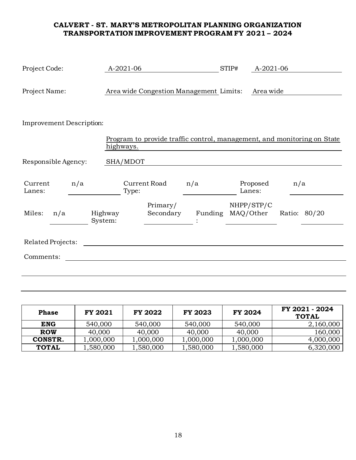<span id="page-20-0"></span>

| Project Code:            | A-2021-06          |                                                                         |                   | STIP#      | A-2021-06 |              |  |
|--------------------------|--------------------|-------------------------------------------------------------------------|-------------------|------------|-----------|--------------|--|
| Project Name:            |                    | Area wide Congestion Management Limits:                                 |                   |            | Area wide |              |  |
| Improvement Description: |                    |                                                                         |                   |            |           |              |  |
|                          | highways.          | Program to provide traffic control, management, and monitoring on State |                   |            |           |              |  |
| Responsible Agency:      | SHA/MDOT           |                                                                         |                   |            |           |              |  |
| Current<br>n/a<br>Lanes: | Type:              | Current Road                                                            | n/a               | Lanes:     | Proposed  | n/a          |  |
| Miles:<br>n/a            | Highway<br>System: | Primary/<br>Secondary                                                   | Funding MAQ/Other | NHPP/STP/C |           | Ratio: 80/20 |  |
| Related Projects:        |                    |                                                                         |                   |            |           |              |  |
| Comments:                |                    |                                                                         |                   |            |           |              |  |
|                          |                    |                                                                         |                   |            |           |              |  |

| <b>Phase</b> | <b>FY 2021</b> | <b>FY 2022</b> | <b>FY 2023</b> | <b>FY 2024</b> | FY 2021 - 2024<br><b>TOTAL</b> |
|--------------|----------------|----------------|----------------|----------------|--------------------------------|
| <b>ENG</b>   | 540,000        | 540,000        | 540,000        | 540,000        | 2,160,000                      |
| <b>ROW</b>   | 40,000         | 40,000         | 40,000         | 40,000         | 160,000                        |
| CONSTR.      | 1,000,000      | 1,000,000      | 1,000,000      | 1,000,000      | 4,000,000                      |
| <b>TOTAL</b> | .580,000       | 1,580,000      | 1,580,000      | 1,580,000      | 6,320,000                      |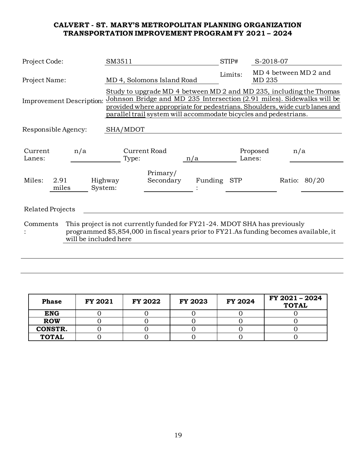<span id="page-21-0"></span>

| Project Code:                     | SM3511                                                                                                                                                             | STIP#                 | S-2018-07                                                                                                                                                                                                                   |
|-----------------------------------|--------------------------------------------------------------------------------------------------------------------------------------------------------------------|-----------------------|-----------------------------------------------------------------------------------------------------------------------------------------------------------------------------------------------------------------------------|
| Project Name:                     | MD 4, Solomons Island Road                                                                                                                                         | Limits:               | MD 4 between MD 2 and<br>MD 235                                                                                                                                                                                             |
| Improvement Description:          | parallel trail system will accommodate bicycles and pedestrians.                                                                                                   |                       | Study to upgrade MD 4 between MD 2 and MD 235, including the Thomas<br>Johnson Bridge and MD 235 Intersection (2.91 miles). Sidewalks will be<br>provided where appropriate for pedestrians. Shoulders, wide curb lanes and |
| Responsible Agency:               | SHA/MDOT                                                                                                                                                           |                       |                                                                                                                                                                                                                             |
| Current<br>n/a<br>Lanes:          | Current Road<br>Type:                                                                                                                                              | Lanes:<br>n/a         | Proposed<br>n/a                                                                                                                                                                                                             |
| Miles:<br>2.91<br>miles           | Primary/<br>Secondary<br>Highway<br>System:                                                                                                                        | Funding<br><b>STP</b> | Ratio: 80/20                                                                                                                                                                                                                |
| Related Projects                  |                                                                                                                                                                    |                       |                                                                                                                                                                                                                             |
| Comments<br>will be included here | This project is not currently funded for FY21-24. MDOT SHA has previously<br>programmed \$5,854,000 in fiscal years prior to FY21.As funding becomes available, it |                       |                                                                                                                                                                                                                             |
|                                   |                                                                                                                                                                    |                       |                                                                                                                                                                                                                             |

| <b>Phase</b>   | FY 2021 | <b>FY 2022</b> | <b>FY 2023</b> | <b>FY 2024</b> | FY 2021 - 2024<br><b>TOTAL</b> |
|----------------|---------|----------------|----------------|----------------|--------------------------------|
| <b>ENG</b>     |         |                |                |                |                                |
| <b>ROW</b>     |         |                |                |                |                                |
| <b>CONSTR.</b> |         |                |                |                |                                |
| <b>TOTAL</b>   |         |                |                |                |                                |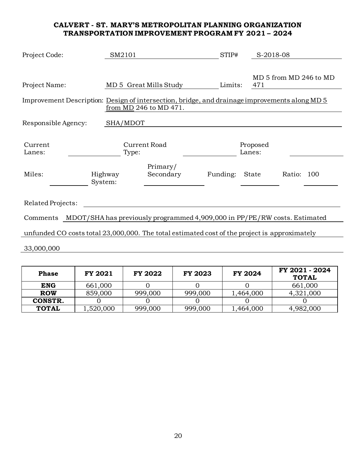<span id="page-22-0"></span>

| Project Code:                                                                                                  |                    | SM2101                                           |                | STIP#          | S-2018-08                   |                         |
|----------------------------------------------------------------------------------------------------------------|--------------------|--------------------------------------------------|----------------|----------------|-----------------------------|-------------------------|
| Project Name:<br>Improvement Description: Design of intersection, bridge, and drainage improvements along MD 5 |                    | MD 5 Great Mills Study<br>from MD 246 to MD 471. |                | Limits:        | 471                         | MD 5 from MD 246 to MD  |
| Responsible Agency:                                                                                            |                    | SHA/MDOT                                         |                |                |                             |                         |
| Current<br>Lanes:<br>Miles:                                                                                    | Highway<br>System: | Current Road<br>Type:<br>Primary/<br>Secondary   |                | Funding:       | Proposed<br>Lanes:<br>State | Ratio: 100              |
| <b>Related Projects:</b>                                                                                       |                    |                                                  |                |                |                             |                         |
| Comments MDOT/SHA has previously programmed 4,909,000 in PP/PE/RW costs. Estimated                             |                    |                                                  |                |                |                             |                         |
| unfunded CO costs total 23,000,000. The total estimated cost of the project is approximately                   |                    |                                                  |                |                |                             |                         |
| 33,000,000                                                                                                     |                    |                                                  |                |                |                             |                         |
| <b>Phase</b>                                                                                                   | <b>FY 2021</b>     | <b>FY 2022</b>                                   | <b>FY 2023</b> | <b>FY 2024</b> |                             | FY 2021 - 2024<br>TOTAL |

| <b>Phase</b> | FY 2021  | FY 2022 | <b>FY 2023</b> | <b>FY 2024</b> | FY 2021 - 2024<br><b>TOTAL</b> |
|--------------|----------|---------|----------------|----------------|--------------------------------|
| <b>ENG</b>   | 661,000  |         |                |                | 661,000                        |
| <b>ROW</b>   | 859,000  | 999,000 | 999,000        | 1,464,000      | 4,321,000                      |
| CONSTR.      |          |         |                |                |                                |
| <b>TOTAL</b> | ,520,000 | 999,000 | 999,000        | 1,464,000      | 4,982,000                      |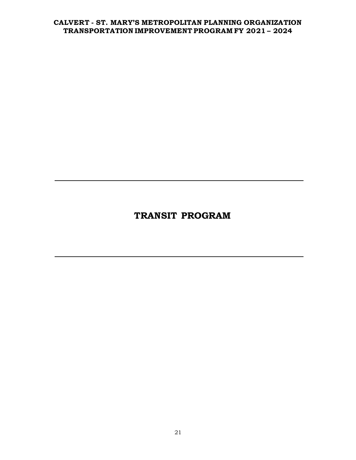# **TRANSIT PROGRAM**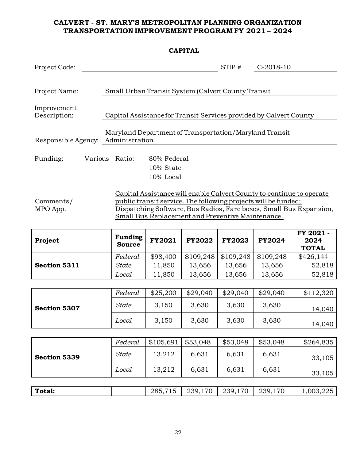### **CAPITAL**

<span id="page-24-0"></span>

| Project Code:                      |                                                                                                                                                                                                                                                                   |                          |               |                                                    | STIP#         | $C-2018-10$                                            |                                   |  |  |
|------------------------------------|-------------------------------------------------------------------------------------------------------------------------------------------------------------------------------------------------------------------------------------------------------------------|--------------------------|---------------|----------------------------------------------------|---------------|--------------------------------------------------------|-----------------------------------|--|--|
|                                    |                                                                                                                                                                                                                                                                   |                          |               |                                                    |               |                                                        |                                   |  |  |
| Project Name:                      |                                                                                                                                                                                                                                                                   |                          |               | Small Urban Transit System (Calvert County Transit |               |                                                        |                                   |  |  |
| Improvement<br>Description:        | Capital Assistance for Transit Services provided by Calvert County                                                                                                                                                                                                |                          |               |                                                    |               |                                                        |                                   |  |  |
|                                    |                                                                                                                                                                                                                                                                   |                          |               |                                                    |               |                                                        |                                   |  |  |
| Responsible Agency: Administration |                                                                                                                                                                                                                                                                   |                          |               |                                                    |               | Maryland Department of Transportation/Maryland Transit |                                   |  |  |
| Funding:                           | Various<br>Ratio:<br>80% Federal<br>10% State<br>10% Local                                                                                                                                                                                                        |                          |               |                                                    |               |                                                        |                                   |  |  |
| Comments/<br>MPO App.              | Capital Assistance will enable Calvert County to continue to operate<br>public transit service. The following projects will be funded;<br>Dispatching Software, Bus Radios, Fare boxes, Small Bus Expansion,<br>Small Bus Replacement and Preventive Maintenance. |                          |               |                                                    |               |                                                        |                                   |  |  |
|                                    |                                                                                                                                                                                                                                                                   |                          |               |                                                    |               |                                                        |                                   |  |  |
| Project                            |                                                                                                                                                                                                                                                                   | Funding<br><b>Source</b> | <b>FY2021</b> | <b>FY2022</b>                                      | <b>FY2023</b> | <b>FY2024</b>                                          | FY 2021 -<br>2024<br><b>TOTAL</b> |  |  |
|                                    |                                                                                                                                                                                                                                                                   | Federal                  | \$98,400      | \$109,248                                          | \$109,248     | \$109,248                                              | \$426,144                         |  |  |
| Section 5311                       |                                                                                                                                                                                                                                                                   | <b>State</b>             | 11,850        | 13,656                                             | 13,656        | 13,656                                                 | 52,818                            |  |  |
|                                    |                                                                                                                                                                                                                                                                   | Local                    | 11,850        | 13,656                                             | 13,656        | 13,656                                                 | 52,818                            |  |  |
|                                    |                                                                                                                                                                                                                                                                   |                          |               |                                                    |               |                                                        |                                   |  |  |
|                                    |                                                                                                                                                                                                                                                                   | Federal                  | \$25,200      | \$29,040                                           | \$29,040      | \$29,040                                               | \$112,320                         |  |  |
| <b>Section 5307</b>                |                                                                                                                                                                                                                                                                   | <b>State</b>             | 3,150         | 3,630                                              | 3,630         | 3,630                                                  | 14,040                            |  |  |
|                                    |                                                                                                                                                                                                                                                                   | Local                    | 3,150         | 3,630                                              | 3,630         | 3,630                                                  |                                   |  |  |
|                                    |                                                                                                                                                                                                                                                                   |                          |               |                                                    |               |                                                        | 14,040                            |  |  |
|                                    |                                                                                                                                                                                                                                                                   | Federal                  | \$105,691     | \$53,048                                           | \$53,048      | \$53,048                                               | \$264,835                         |  |  |
| Section 5339                       |                                                                                                                                                                                                                                                                   | <b>State</b>             | 13,212        | 6,631                                              | 6,631         | 6,631                                                  | 33,105                            |  |  |
|                                    |                                                                                                                                                                                                                                                                   | Local                    | 13,212        | 6,631                                              | 6,631         | 6,631                                                  | 33,105                            |  |  |

| Total. | 285.715 | 170<br>239, | 170<br>239,1 | 170<br>239, | റവ<br>1,003,225 |
|--------|---------|-------------|--------------|-------------|-----------------|
|        |         |             |              |             |                 |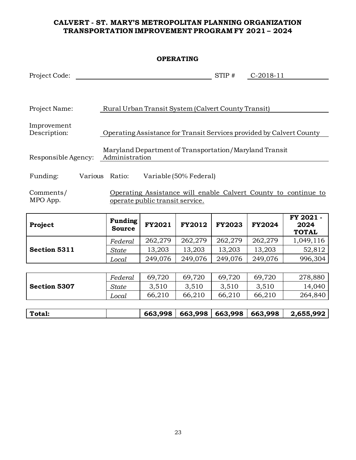### <span id="page-25-0"></span>**OPERATING**

| Project Code:               | STIP #<br>$C-2018-11$                                                    |
|-----------------------------|--------------------------------------------------------------------------|
|                             |                                                                          |
|                             |                                                                          |
| Project Name:               | Rural Urban Transit System (Calvert County Transit)                      |
|                             |                                                                          |
| Improvement<br>Description: | Operating Assistance for Transit Services provided by Calvert County     |
|                             |                                                                          |
| Responsible Agency:         | Maryland Department of Transportation/Maryland Transit<br>Administration |
|                             |                                                                          |
| Funding:                    | Various Ratio:<br>Variable (50% Federal)                                 |
| Comments/                   | Operating Assistance will enable Calvert County to continue to           |
| MPO App.                    | operate public transit service.                                          |
|                             |                                                                          |

| Project      | <b>Funding</b><br><b>Source</b> | <b>FY2021</b> | <b>FY2012</b> | <b>FY2023</b> | <b>FY2024</b> | FY 2021 -<br>2024<br><b>TOTAL</b> |
|--------------|---------------------------------|---------------|---------------|---------------|---------------|-----------------------------------|
|              | Federal                         | 262,279       | 262,279       | 262,279       | 262,279       | 1,049,116                         |
| Section 5311 | State                           | 13,203        | 13,203        | 13,203        | 13,203        | 52,812                            |
|              | Local                           | 249,076       | 249.076       | 249,076       | 249,076       | 996,304                           |

| <b>Section 5307</b> | Federal | 69,720 | 69,720 | 69,720 | 69,720 | 278,880 |
|---------------------|---------|--------|--------|--------|--------|---------|
|                     | State   | 3,510  | 3,510  | 3,510  | 3,510  | 14,040  |
|                     | Local   | 66,210 | 66,210 | 66,210 | 66,210 | 264,840 |

| Total: |  |  | $663,998   663,998   663,998   663,998   2,655,992$ |
|--------|--|--|-----------------------------------------------------|
|        |  |  |                                                     |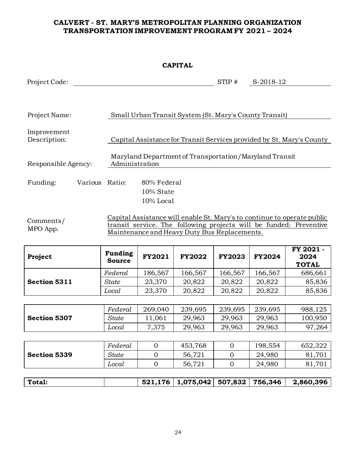<span id="page-26-0"></span>

|                             |                | <b>CAPITAL</b>                                                        |
|-----------------------------|----------------|-----------------------------------------------------------------------|
| Project Code:               |                | STIP #<br>S-2018-12                                                   |
| Project Name:               |                | Small Urban Transit System (St. Mary's County Transit)                |
| Improvement<br>Description: |                | Capital Assistance for Transit Services provided by St. Mary's County |
| Responsible Agency:         | Administration | Maryland Department of Transportation/Maryland Transit                |
| Funding:<br>Various         | Ratio:         | 80% Federal<br>10% State<br>10% Local                                 |
|                             |                |                                                                       |

Comments/ MPO App. Capital Assistance will enable St. Mary's to continue to operate public transit service. The following projects will be funded: Preventive Maintenance and Heavy Duty Bus Replacements.

| Project      | <b>Funding</b><br><b>Source</b> | <b>FY2021</b> | <b>FY2022</b> | <b>FY2023</b> | <b>FY2024</b> | FY 2021 -<br>2024<br><b>TOTAL</b> |
|--------------|---------------------------------|---------------|---------------|---------------|---------------|-----------------------------------|
|              | Federal                         | 186,567       | 166,567       | 166,567       | 166,567       | 686,661                           |
| Section 5311 | <b>State</b>                    | 23,370        | 20,822        | 20,822        | 20,822        | 85,836                            |
|              | Local                           | 23,370        | 20,822        | 20,822        | 20,822        | 85,836                            |
|              |                                 |               |               |               |               |                                   |
|              | Federal                         | 269,040       | 239,695       | 239,695       | 239,695       | 988,125                           |

|                     | Federal      | 269,040 | 239,695 | 239,695 | 239,695 | 988,125 |
|---------------------|--------------|---------|---------|---------|---------|---------|
| <b>Section 5307</b> | <b>State</b> | 11,061  | 29,963  | 29,963  | 29,963  | 100,950 |
|                     | Local        | 7,375   | 29,963  | 29,963  | 29,963  | 97,264  |

| Total:              |         | $521,176$   1,075,042   507,832   756,346 |         | 2,860,396 |
|---------------------|---------|-------------------------------------------|---------|-----------|
|                     |         |                                           |         |           |
|                     | Local   | 56,721                                    | 24,980  | 81,701    |
| <b>Section 5339</b> | State   | 56,721                                    | 24,980  | 81,701    |
|                     | Federal | 453,768                                   | 198,554 | 652,322   |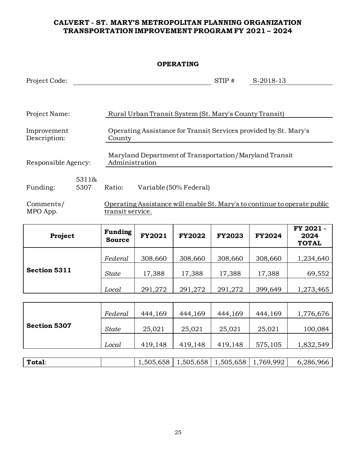### <span id="page-27-0"></span>**OPERATING**

| Project Code:               |               |                  |                                                                  | STIP # | S-2018-13                                                                 |
|-----------------------------|---------------|------------------|------------------------------------------------------------------|--------|---------------------------------------------------------------------------|
|                             |               |                  |                                                                  |        |                                                                           |
| Project Name:               |               |                  | Rural Urban Transit System (St. Mary's County Transit)           |        |                                                                           |
| Improvement<br>Description: |               | County           | Operating Assistance for Transit Services provided by St. Mary's |        |                                                                           |
| Responsible Agency:         |               | Administration   | Maryland Department of Transportation/Maryland Transit           |        |                                                                           |
| Funding:                    | 5311&<br>5307 | Ratio:           | Variable (50% Federal)                                           |        |                                                                           |
| Comments/<br>MPO App.       |               | transit service. |                                                                  |        | Operating Assistance will enable St. Mary's to continue to operate public |

| Project      | <b>Funding</b><br><b>Source</b> | <b>FY2021</b> | <b>FY2022</b> | <b>FY2023</b> | <b>FY2024</b> | FY 2021 -<br>2024<br><b>TOTAL</b> |
|--------------|---------------------------------|---------------|---------------|---------------|---------------|-----------------------------------|
|              | Federal                         | 308,660       | 308,660       | 308,660       | 308,660       | 1,234,640                         |
| Section 5311 | <b>State</b>                    | 17,388        | 17,388        | 17,388        | 17,388        | 69,552                            |
|              | Local                           | 291,272       | 291,272       | 291,272       | 399,649       | 1,273,465                         |

|                     | Federal      | 444,169 | 444,169 | 444,169 | 444,169 | 1,776,676 |
|---------------------|--------------|---------|---------|---------|---------|-----------|
| <b>Section 5307</b> | <b>State</b> | 25,021  | 25,021  | 25,021  | 25,021  | 100,084   |
|                     | Local        | 419,148 | 419,148 | 419,148 | 575,105 | 1,832,549 |

| Total: |  |  | $1,505,658$   1,505,658   1,505,658   1,769,992   6,286,966 |
|--------|--|--|-------------------------------------------------------------|
|        |  |  |                                                             |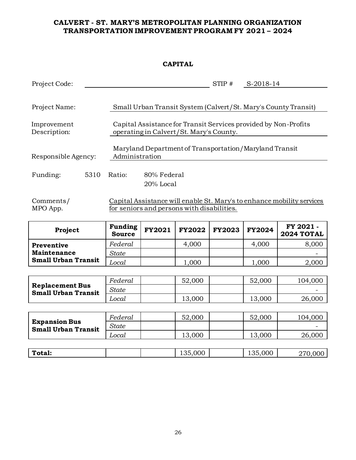### <span id="page-28-0"></span>**CAPITAL**

| Project Code:                                                                                                                             |      |                | STIP #                                                         | S-2018-14 |
|-------------------------------------------------------------------------------------------------------------------------------------------|------|----------------|----------------------------------------------------------------|-----------|
|                                                                                                                                           |      |                |                                                                |           |
| Project Name:                                                                                                                             |      |                | Small Urban Transit System (Calvert/St. Mary's County Transit) |           |
| Capital Assistance for Transit Services provided by Non-Profits<br>Improvement<br>operating in Calvert/St. Mary's County.<br>Description: |      |                |                                                                |           |
| Responsible Agency:                                                                                                                       |      | Administration | Maryland Department of Transportation/Maryland Transit         |           |
| Funding:                                                                                                                                  | 5310 | Ratio:         | 80% Federal<br>$20\%$ Local                                    |           |
|                                                                                                                                           |      |                |                                                                |           |

Comments/ MPO App. Capital Assistance will enable St. Mary's to enhance mobility services for seniors and persons with disabilities.

| <b>Project</b>             | <b>Funding</b><br><b>Source</b> | <b>FY2021</b> |       | <b>FY2022 FY2023</b> | <b>FY2024</b> | FY 2021 -<br>2024 TOTAL |
|----------------------------|---------------------------------|---------------|-------|----------------------|---------------|-------------------------|
| <b>Preventive</b>          | Federal                         |               | 4,000 |                      | 4,000         | 8,000                   |
| <b>Maintenance</b>         | <b>State</b>                    |               |       |                      |               |                         |
| <b>Small Urban Transit</b> | Local                           |               | ,000  |                      | ,000          | 2,000                   |

| <b>Replacement Bus</b><br><b>Small Urban Transit</b> | Federal      | 52,000 | 52,000 | 104,000 |
|------------------------------------------------------|--------------|--------|--------|---------|
|                                                      | <b>State</b> |        |        |         |
|                                                      | Local        | 13,000 | 13.000 | 26,000  |

| <b>Expansion Bus</b>       | Federal      | 52,000 | 52,000 | 104,000 |
|----------------------------|--------------|--------|--------|---------|
| <b>Small Urban Transit</b> | <b>State</b> |        |        |         |
|                            | Local        | 13,000 | .000   | 26,000  |

| Total: |  | 135,000 | 135,000 |  |
|--------|--|---------|---------|--|
|        |  |         |         |  |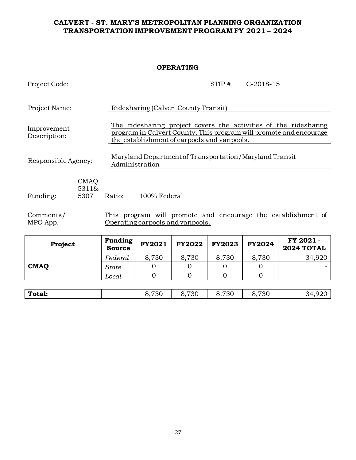### <span id="page-29-0"></span>**OPERATING**

| Project Code:               |                              |                                                                                                  |                                                                                                                                                                                       |                                      | STIP#         | $C-2018-15$    |                                |  |  |  |
|-----------------------------|------------------------------|--------------------------------------------------------------------------------------------------|---------------------------------------------------------------------------------------------------------------------------------------------------------------------------------------|--------------------------------------|---------------|----------------|--------------------------------|--|--|--|
|                             |                              |                                                                                                  |                                                                                                                                                                                       |                                      |               |                |                                |  |  |  |
| Project Name:               |                              |                                                                                                  |                                                                                                                                                                                       | Ridesharing (Calvert County Transit) |               |                |                                |  |  |  |
| Improvement<br>Description: |                              |                                                                                                  | The ridesharing project covers the activities of the ridesharing<br>program in Calvert County. This program will promote and encourage<br>the establishment of carpools and vanpools. |                                      |               |                |                                |  |  |  |
| Responsible Agency:         |                              | Maryland Department of Transportation/Maryland Transit<br>Administration                         |                                                                                                                                                                                       |                                      |               |                |                                |  |  |  |
| Funding:                    | <b>CMAQ</b><br>5311&<br>5307 | Ratio:                                                                                           | 100% Federal                                                                                                                                                                          |                                      |               |                |                                |  |  |  |
| Comments/<br>MPO App.       |                              | This program will promote and encourage the establishment of<br>Operating carpools and vanpools. |                                                                                                                                                                                       |                                      |               |                |                                |  |  |  |
| Project                     |                              | <b>Funding</b><br><b>Source</b>                                                                  | <b>FY2021</b>                                                                                                                                                                         | <b>FY2022</b>                        | <b>FY2023</b> | <b>FY2024</b>  | FY 2021 -<br><b>2024 TOTAL</b> |  |  |  |
|                             |                              | Federal                                                                                          | 8,730                                                                                                                                                                                 | 8,730                                | 8,730         | 8,730          | 34,920                         |  |  |  |
| <b>CMAQ</b>                 |                              | <b>State</b>                                                                                     | 0                                                                                                                                                                                     | $\overline{0}$                       | 0             | 0              |                                |  |  |  |
|                             |                              | Local                                                                                            | $\Omega$                                                                                                                                                                              | $\mathbf{0}$                         | $\Omega$      | $\overline{0}$ |                                |  |  |  |

| Total: | 730<br>ີ<br>U, | 8,730 | O<br>730<br>24<br>$\mathsf{U}$ | 730<br>×<br>U, | ≀⊿<br>∠ע |
|--------|----------------|-------|--------------------------------|----------------|----------|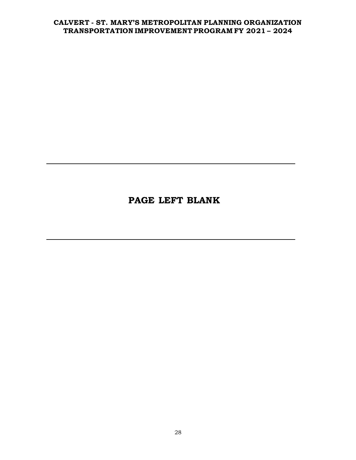# **PAGE LEFT BLANK**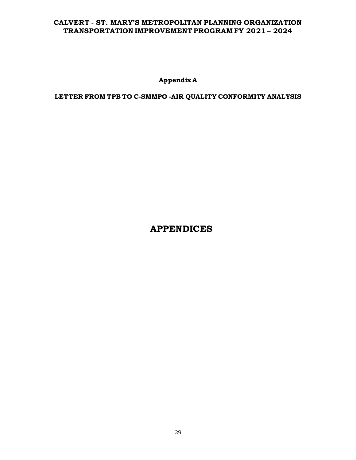**Appendix A**

<span id="page-31-1"></span><span id="page-31-0"></span>**LETTER FROM TPB TO C-SMMPO -AIR QUALITY CONFORMITY ANALYSIS**

**APPENDICES**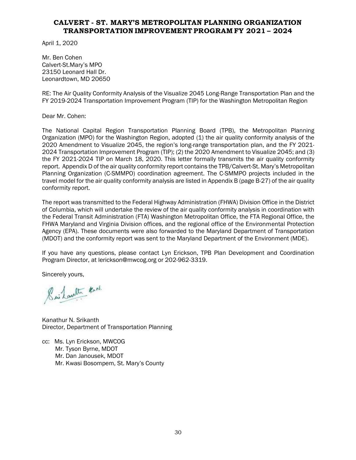April 1, 2020

Mr. Ben Cohen Calvert-St.Mary's MPO 23150 Leonard Hall Dr. Leonardtown, MD 20650

RE: The Air Quality Conformity Analysis of the Visualize 2045 Long-Range Transportation Plan and the FY 2019-2024 Transportation Improvement Program (TIP) for the Washington Metropolitan Region

Dear Mr. Cohen:

The National Capital Region Transportation Planning Board (TPB), the Metropolitan Planning Organization (MPO) for the Washington Region, adopted (1) the air quality conformity analysis of the 2020 Amendment to Visualize 2045, the region's long-range transportation plan, and the FY 2021- 2024 Transportation Improvement Program (TIP); (2) the 2020 Amendment to Visualize 2045; and (3) the FY 2021-2024 TIP on March 18, 2020. This letter formally transmits the air quality conformity report. Appendix D of the air quality conformity report contains the TPB/Calvert-St. Mary's Metropolitan Planning Organization (C-SMMPO) coordination agreement. The C-SMMPO projects included in the travel model for the air quality conformity analysis are listed in Appendix B (page B-27) of the air quality conformity report.

The report was transmitted to the Federal Highway Administration (FHWA) Division Office in the District of Columbia, which will undertake the review of the air quality conformity analysis in coordination with the Federal Transit Administration (FTA) Washington Metropolitan Office, the FTA Regional Office, the FHWA Maryland and Virginia Division offices, and the regional office of the Environmental Protection Agency (EPA). These documents were also forwarded to the Maryland Department of Transportation (MDOT) and the conformity report was sent to the Maryland Department of the Environment (MDE).

If you have any questions, please contact Lyn Erickson, TPB Plan Development and Coordination Program Director, at lerickson@mwcog.org or 202-962-3319.

Sincerely yours,

Sinhaulte that.

Kanathur N. Srikanth Director, Department of Transportation Planning

cc: Ms. Lyn Erickson, MWCOG Mr. Tyson Byrne, MDOT Mr. Dan Janousek, MDOT Mr. Kwasi Bosompem, St. Mary's County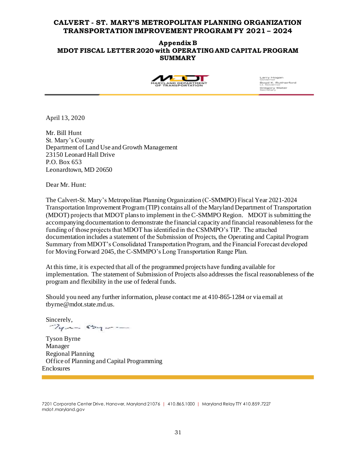### <span id="page-33-1"></span><span id="page-33-0"></span>**Appendix B MDOT FISCAL LETTER 2020 with OPERATING AND CAPITAL PROGRAM SUMMARY**



Larry Hogan Boyd K. Rutherford Gregory Slater<br>Secretary

April 13, 2020

Mr. Bill Hunt St. Mary's County Department of Land Use and Growth Management 23150 Leonard Hall Drive P.O. Box 653 Leonardtown, MD 20650

Dear Mr. Hunt:

The Calvert-St. Mary's Metropolitan Planning Organization (C-SMMPO) Fiscal Year 2021-2024 Transportation Improvement Program (TIP) contains all of the Maryland Department of Transportation (MDOT) projects that MDOT plans to implement in the C-SMMPO Region. MDOT is submitting the accompanying documentation to demonstrate the financial capacity and financial reasonableness for the funding of those projects that MDOT has identified in the CSMMPO's TIP. The attached documentation includes a statement of the Submission of Projects, the Operating and Capital Program Summary from MDOT's Consolidated Transportation Program, and the Financial Forecast developed for Moving Forward 2045, the C-SMMPO's Long Transportation Range Plan.

At this time, it is expected that all of the programmed projects have funding available for implementation. The statement of Submission of Projects also addresses the fiscal reasonableness of the program and flexibility in the use of federal funds.

Should you need any further information, please contact me at 410-865-1284 or via email at tbyrne@mdot.state.md.us.

Sincerely,  $7y - 8b - -$ 

Tyson Byrne Manager Regional Planning Office of Planning and Capital Programming Enclosures

7201 Corporate Center Drive, Hanover, Maryland 21076 | 410.865.1000 | Maryland Relay TTY 410.859.7227 mdot.maryland.gov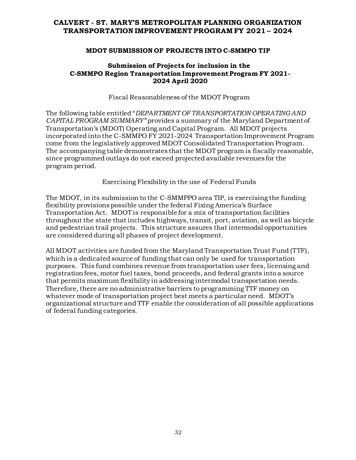### **MDOT SUBMISSION OF PROJECTS INTO C-SMMPO TIP**

### <span id="page-34-0"></span>**Submission of Projects for inclusion in the C-SMMPO Region Transportation Improvement Program FY 2021- 2024 April 2020**

Fiscal Reasonableness of the MDOT Program

The following table entitled "*DEPARTMENT OF TRANSPORTATION OPERATING AND CAPITAL PROGRAM SUMMARY"* provides a summary of the Maryland Department of Transportation's (MDOT) Operating and Capital Program. All MDOT projects incorporated into the C-SMMPO FY 2021-2024 Transportation Improvement Program come from the legislatively approved MDOT Consolidated Transportation Program. The accompanying table demonstrates that the MDOT program is fiscally reasonable, since programmed outlays do not exceed projected available revenues for the program period.

Exercising Flexibility in the use of Federal Funds

The MDOT, in its submission to the C-SMMPPO area TIP, is exercising the funding flexibility provisions possible under the federal Fixing America's Surface Transportation Act. MDOT is responsible for a mix of transportation facilities throughout the state that includes highways, transit, port, aviation, as well as bicycle and pedestrian trail projects. This structure assures that intermodal opportunities are considered during all phases of project development.

All MDOT activities are funded from the Maryland Transportation Trust Fund (TTF), which is a dedicated source of funding that can only be used for transportation purposes. This fund combines revenue from transportation user fees, licensing and registration fees, motor fuel taxes, bond proceeds, and federal grants into a source that permits maximum flexibility in addressing intermodal transportation needs. Therefore, there are no administrative barriers to programming TTF money on whatever mode of transportation project best meets a particular need. MDOT's organizational structure and TTF enable the consideration of all possible applications of federal funding categories.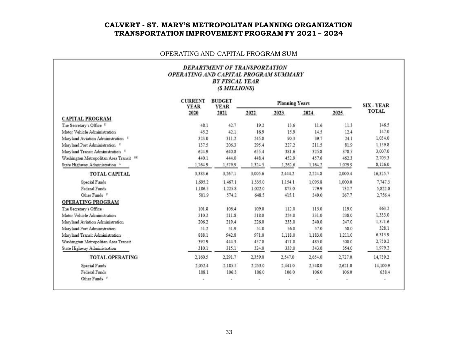### OPERATING AND CAPITAL PROGRAM SUM

#### DEPARTMENT OF TRANSPORTATION OPERATING AND CAPITAL PROGRAM SUMMARY **BY FISCAL YEAR** (\$ MILLIONS)

|                                      | <b>CURRENT</b><br><b>YEAR</b> | <b>BUDGET</b><br><b>YEAR</b> |         |         | <b>Planning Years</b> |         | <b>SIX - YEAR</b> |
|--------------------------------------|-------------------------------|------------------------------|---------|---------|-----------------------|---------|-------------------|
|                                      | 2020                          | 2021                         | 2022    | 2023    | 2024                  | 2025    | TOTAL             |
| <b>CAPITAL PROGRAM</b>               |                               |                              |         |         |                       |         |                   |
| The Secretary's Office               | 48.1                          | 42.7                         | 19.2    | 13.6    | 11.6                  | 11.3    | 146.5             |
| Motor Vehicle Administration         | 45.2                          | 42.1                         | 16.9    | 15.9    | 14.5                  | 12.4    | 147.0             |
| Maryland Aviation Administration     | 323.0                         | 311.2                        | 245.8   | 90.3    | 39.7                  | 24.1    | 1.034.0           |
| Maryland Port Administration         | 137.5                         | 206.3                        | 295.4   | 227.2   | 211.5                 | 81.9    | 1,159.8           |
| Maryland Transit Administration      | 624.9                         | 640.8                        | 655.4   | 381.6   | 325.8                 | 378.5   | 3,007.0           |
| Washington Metropolitan Area Transit | 440.1                         | 444.0                        | 448.4   | 452.9   | 457.6                 | 462.3   | 2,705.3           |
| State Highway Administration ^       | 1,764.9                       | 1,579.9                      | 1,324.5 | 1,262.6 | 1,164.2               | 1.029.9 | 8,126.0           |
| TOTAL CAPITAL                        | 3,383.6                       | 3,267.1                      | 3,005.6 | 2,444.2 | 2,224.8               | 2,000.4 | 16,325.7          |
| Special Funds                        | 1.695.2                       | 1.467.1                      | 1.335.0 | 1,154.1 | 1,095.8               | 1,000.0 | 7,747.3           |
| Federal Funds                        | 1,186.5                       | 1,225.8                      | 1,022.0 | 875.0   | 779.9                 | 732.7   | 5,822.0           |
| Other Funds <sup>1</sup>             | 501.9                         | 574.2                        | 648.5   | 415.1   | 349.0                 | 267.7   | 2,756.4           |
| OPERATING PROGRAM                    |                               |                              |         |         |                       |         |                   |
| The Secretary's Office               | 101.8                         | 106.4                        | 109.0   | 112.0   | 115.0                 | 119.0   | 663.2             |
| Motor Vehicle Administration         | 210.2                         | 211.8                        | 218.0   | 224.0   | 231.0                 | 238.0   | 1,333.0           |
| Maryland Aviation Administration     | 206.2                         | 219.4                        | 226.0   | 233.0   | 240.0                 | 247.0   | 1,371.6           |
| Maryland Port Administration         | 51.2                          | 51.9                         | 54.0    | 56.0    | 57.0                  | 58.0    | 328.1             |
| Maryland Transit Administration      | 888.1                         | 942.8                        | 971.0   | 1,118.0 | 1.183.0               | 1,211.0 | 6,313.9           |
| Washington Metropolitan Area Transit | 392.9                         | 444.3                        | 457.0   | 471.0   | 485.0                 | 500.0   | 2,750.2           |
| State Highway Administration         | 310.1                         | 315.1                        | 324.0   | 333.0   | 343.0                 | 354.0   | 1,979.2           |
| <b>TOTAL OPERATING</b>               | 2,160.5                       | 2,291.7                      | 2,359.0 | 2,547.0 | 2,654.0               | 2,727.0 | 14,739.2          |
| <b>Special Funds</b>                 | 2,052.4                       | 2,185.5                      | 2,253.0 | 2,441.0 | 2,548.0               | 2,621.0 | 14,100.9          |
| Federal Funds                        | 108.1                         | 106.3                        | 106.0   | 106.0   | 106.0                 | 106.0   | 638.4             |
| Other Funds <sup>F</sup>             |                               | ٠                            | ÷       |         |                       | ÷       |                   |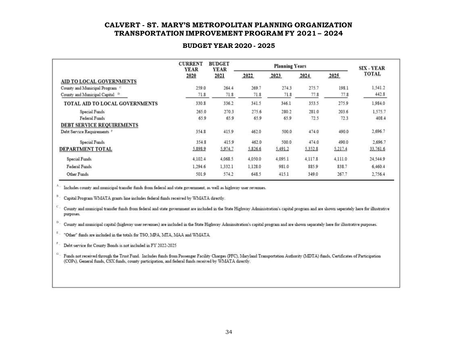#### **BUDGET YEAR 2020 - 2025**

|                                           | <b>CURRENT</b><br><b>BUDGET</b><br>YEAR<br>YEAR |         |         | <b>Planning Years</b> |         |         |          |  |  |
|-------------------------------------------|-------------------------------------------------|---------|---------|-----------------------|---------|---------|----------|--|--|
| AID TO LOCAL GOVERNMENTS                  | 2020                                            | 2021    | 2022    | 2023                  | 2024    | 2025    | TOTAL    |  |  |
| County and Municipal Program <sup>C</sup> | 259.0                                           | 264.4   | 269.7   | 274.3                 | 275.7   | 198.1   | 1,541.2  |  |  |
| County and Municipal Capital <sup>D</sup> | 71.8                                            | 71.8    | 71.8    | 71.8                  | 77.8    | 77.8    | 442.8    |  |  |
| TOTAL AID TO LOCAL GOVERNMENTS            | 330.8                                           | 336.2   | 341.5   | 346.1                 | 353.5   | 275.9   | 1,984.0  |  |  |
| <b>Special Funds</b>                      | 265.0                                           | 270.3   | 275.6   | 280.2                 | 281.0   | 203.6   | 1,575.7  |  |  |
| Federal Funds                             | 65.9                                            | 65.9    | 65.9    | 65.9                  | 72.5    | 72.3    | 408.4    |  |  |
| <b>DEBT SERVICE REQUIREMENTS</b>          |                                                 |         |         |                       |         |         |          |  |  |
| Debt Service Requirements                 | 354.8                                           | 415.9   | 462.0   | 500.0                 | 474.0   | 490.0   | 2,696.7  |  |  |
| Special Funds                             | 354.8                                           | 415.9   | 462.0   | 500.0                 | 474.0   | 490.0   | 2,696.7  |  |  |
| DEPARTMENT TOTAL                          | 5,898.9                                         | 5,974.7 | 5,826.6 | 5,491.2               | 5,352.8 | 5.217.4 | 33,761.6 |  |  |
| Special Funds                             | 4,102.4                                         | 4,068.5 | 4,050.0 | 4,095.1               | 4,117.8 | 4,111.0 | 24,544.9 |  |  |
| Federal Funds                             | 1.294.6                                         | 1,332.1 | 1,128.0 | 981.0                 | 885.9   | 838.7   | 6,460.4  |  |  |
| Other Funds                               | 501.9                                           | 574.2   | 648.5   | 415.1                 | 349.0   | 267.7   | 2,756.4  |  |  |

<span id="page-36-0"></span> $^{\rm A}$  - Includes county and municipal transfer funds from federal and state government, as well as highway user revenues.

 $"$   $-$  Capital Program WMATA grants line includes federal funds received by WMATA directly.

<sup>C</sup> County and municipal transfer funds from federal and state government are included in the State Highway Administration's capital program and are shown seperately here for illustrative purposes.

 $\mathbf{D}$ County and municipal capital (highway user revenues) are included in the State Highway Adminsitration's capital program and are shown separately here for illustrative purposes.

 $^{\rm E}$  – "Other" funds are included in the totals for TSO, MPA, MTA, MAA and WMATA.

 $\mathbb{F}_-$ Debt service for County Bonds is not included in FY 2022-2025

 $\mathbf{G}$ Funds not received through the Trust Fund. Includes funds from Passenger Facility Charges (PFC), Maryland Transportation Authority (MDTA) funds, Certificates of Participation (COPs), General funds, CSX funds, county participation, and federal funds received by WMATA directly.